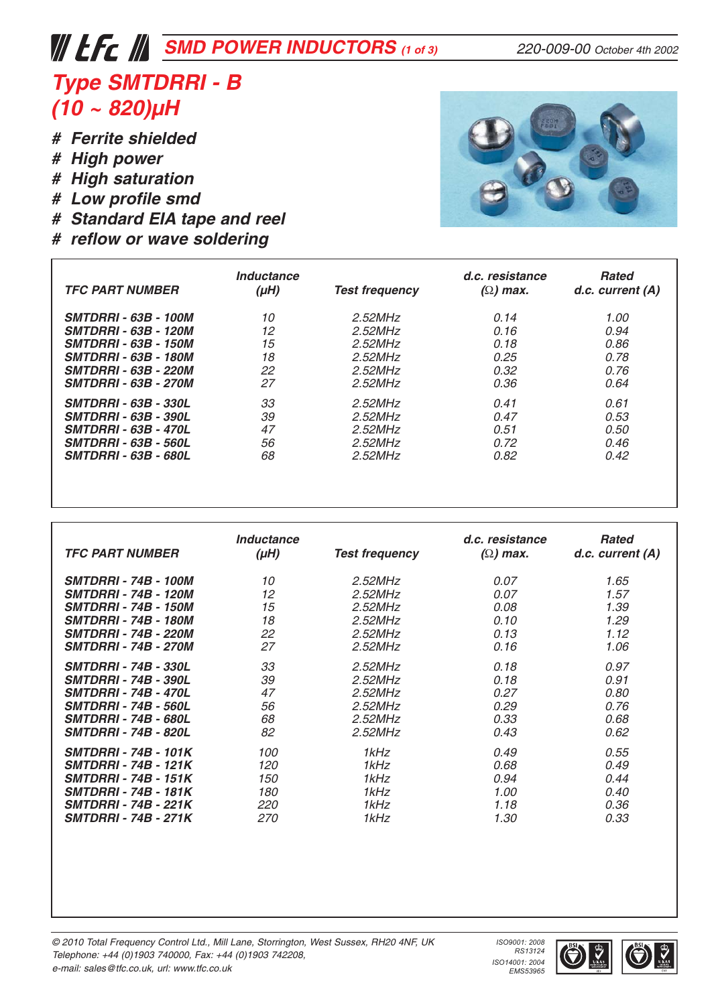## *SMD POWER INDUCTORS* (1 of 3) 220-009-00 October 4th 2002

### *Type SMTDRRI - B (10 ~ 820)µH*

- *# Ferrite shielded*
- *# High power*
- *# High saturation*
- *# Low profile smd*
- *# Standard EIA tape and reel*
- *# reflow or wave soldering*



| <b>TFC PART NUMBER</b>      | Inductance<br>$(\mu H)$ | <b>Test frequency</b> | d.c. resistance<br>$(\Omega)$ max. | <b>Rated</b><br>$d.c.$ current $(A)$ |
|-----------------------------|-------------------------|-----------------------|------------------------------------|--------------------------------------|
| <b>SMTDRRI - 63B - 100M</b> | 10                      | 2.52MHz               | 0.14                               | 1.00                                 |
| <b>SMTDRRI - 63B - 120M</b> | 12                      | $2.52$ MHz            | 0.16                               | 0.94                                 |
| <b>SMTDRRI - 63B - 150M</b> | 15                      | 2.52MHz               | 0.18                               | 0.86                                 |
| <b>SMTDRRI - 63B - 180M</b> | 18                      | $2.52$ MHz            | 0.25                               | 0.78                                 |
| <b>SMTDRRI - 63B - 220M</b> | 22                      | 2.52MHz               | 0.32                               | 0.76                                 |
| <b>SMTDRRI - 63B - 270M</b> | 27                      | 2.52MHz               | 0.36                               | 0.64                                 |
| <b>SMTDRRI - 63B - 330L</b> | 33                      | 2.52MHz               | 0.41                               | 0.61                                 |
| <b>SMTDRRI - 63B - 390L</b> | 39                      | $2.52$ MHz            | 0.47                               | 0.53                                 |
| <b>SMTDRRI - 63B - 470L</b> | 47                      | $2.52$ MHz            | 0.51                               | 0.50                                 |
| <b>SMTDRRI - 63B - 560L</b> | 56                      | 2.52MHz               | 0.72                               | 0.46                                 |
| <b>SMTDRRI - 63B - 680L</b> | 68                      | $2.52$ MHz            | 0.82                               | 0.42                                 |

| <b>TFC PART NUMBER</b>      | Inductance<br>$(\mu H)$ | <b>Test frequency</b> | d.c. resistance<br>$(\Omega)$ max. | Rated<br>$d.c.$ current $(A)$ |
|-----------------------------|-------------------------|-----------------------|------------------------------------|-------------------------------|
| <b>SMTDRRI - 74B - 100M</b> | 10                      | $2.52$ MHz            | 0.07                               | 1.65                          |
| <b>SMTDRRI - 74B - 120M</b> | 12                      | $2.52$ MHz            | 0.07                               | 1.57                          |
| <b>SMTDRRI - 74B - 150M</b> | 15                      | $2.52$ MHz            | 0.08                               | 1.39                          |
| <b>SMTDRRI - 74B - 180M</b> | 18                      | $2.52$ MHz            | 0.10                               | 1.29                          |
| <b>SMTDRRI - 74B - 220M</b> | 22                      | $2.52$ MHz            | 0.13                               | 1.12                          |
| <b>SMTDRRI - 74B - 270M</b> | 27                      | 2.52MHz               | 0.16                               | 1.06                          |
| <b>SMTDRRI - 74B - 330L</b> | 33                      | $2.52$ MHz            | 0.18                               | 0.97                          |
| <b>SMTDRRI - 74B - 390L</b> | 39                      | $2.52$ MHz            | 0.18                               | 0.91                          |
| <b>SMTDRRI - 74B - 470L</b> | 47                      | $2.52$ MHz            | 0.27                               | 0.80                          |
| <b>SMTDRRI - 74B - 560L</b> | 56                      | 2.52MHz               | 0.29                               | 0.76                          |
| <b>SMTDRRI - 74B - 680L</b> | 68                      | $2.52$ MHz            | 0.33                               | 0.68                          |
| <b>SMTDRRI - 74B - 820L</b> | 82                      | $2.52$ MHz            | 0.43                               | 0.62                          |
| <b>SMTDRRI - 74B - 101K</b> | 100                     | 1kHz                  | 0.49                               | 0.55                          |
| <b>SMTDRRI - 74B - 121K</b> | 120                     | 1kHz                  | 0.68                               | 0.49                          |
| <b>SMTDRRI - 74B - 151K</b> | 150                     | 1kHz                  | 0.94                               | 0.44                          |
| <b>SMTDRRI - 74B - 181K</b> | 180                     | 1kHz                  | 1.00                               | 0.40                          |
| <b>SMTDRRI - 74B - 221K</b> | 220                     | 1kHz                  | 1.18                               | 0.36                          |
| <b>SMTDRRI - 74B - 271K</b> | 270                     | 1kHz                  | 1.30                               | 0.33                          |



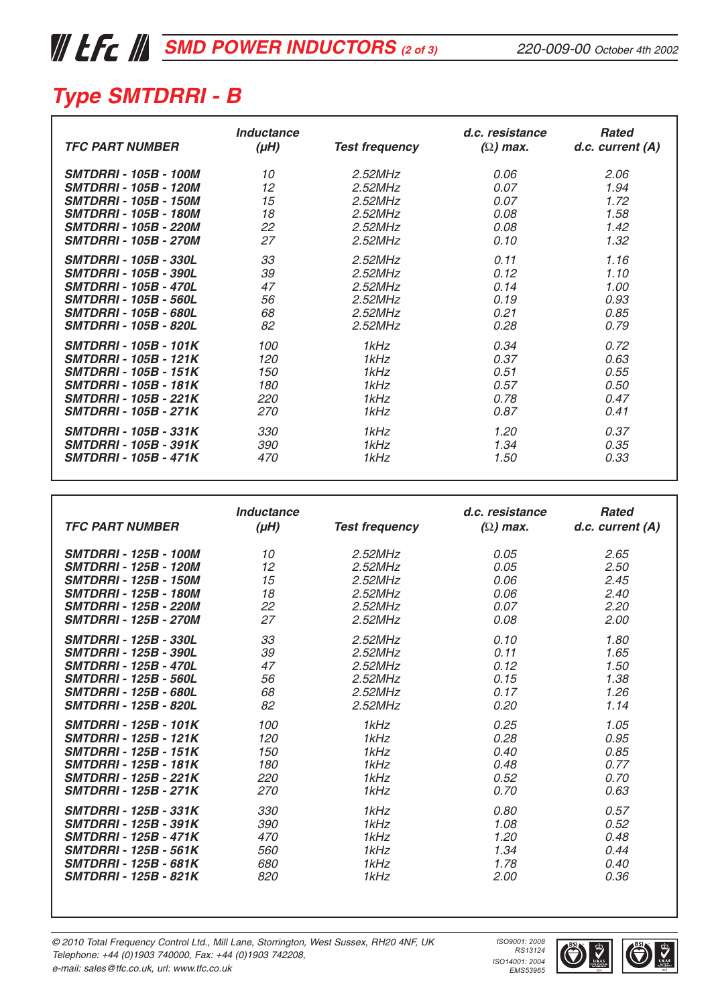### *Type SMTDRRI - B*

| <b>TFC PART NUMBER</b>       | Inductance<br>$(\mu H)$ | <b>Test frequency</b> | d.c. resistance<br>$(\Omega)$ max. | <b>Rated</b><br>$d.c.$ current $(A)$ |
|------------------------------|-------------------------|-----------------------|------------------------------------|--------------------------------------|
| <b>SMTDRRI - 105B - 100M</b> | 10                      | $2.52$ MHz            | 0.06                               | 2.06                                 |
| <b>SMTDRRI - 105B - 120M</b> | 12                      | 2.52MHz               | 0.07                               | 1.94                                 |
| <b>SMTDRRI - 105B - 150M</b> | 15                      | 2.52MHz               | 0.07                               | 1.72                                 |
| <b>SMTDRRI - 105B - 180M</b> | 18                      | 2.52MHz               | 0.08                               | 1.58                                 |
| <b>SMTDRRI - 105B - 220M</b> | 22                      | 2.52MHz               | 0.08                               | 1.42                                 |
| <b>SMTDRRI - 105B - 270M</b> | 27                      | $2.52$ MHz            | 0.10                               | 1.32                                 |
| <b>SMTDRRI - 105B - 330L</b> | 33                      | 2.52MHz               | 0.11                               | 1.16                                 |
| <i>SMTDRRI - 105B - 390L</i> | 39                      | 2.52MHz               | 0.12                               | 1.10                                 |
| <b>SMTDRRI - 105B - 470L</b> | 47                      | 2.52MHz               | 0.14                               | 1.00                                 |
| <b>SMTDRRI - 105B - 560L</b> | 56                      | $2.52$ MHz            | 0.19                               | 0.93                                 |
| <b>SMTDRRI - 105B - 680L</b> | 68                      | $2.52$ MHz            | 0.21                               | 0.85                                 |
| <b>SMTDRRI - 105B - 820L</b> | 82                      | $2.52$ MHz            | 0.28                               | 0.79                                 |
| <b>SMTDRRI - 105B - 101K</b> | 100                     | 1kHz                  | 0.34                               | 0.72                                 |
| <b>SMTDRRI - 105B - 121K</b> | 120                     | 1kHz                  | 0.37                               | 0.63                                 |
| <b>SMTDRRI - 105B - 151K</b> | 150                     | 1kHz                  | 0.51                               | 0.55                                 |
| <b>SMTDRRI - 105B - 181K</b> | 180                     | 1kHz                  | 0.57                               | 0.50                                 |
| <b>SMTDRRI - 105B - 221K</b> | 220                     | 1kHz                  | 0.78                               | 0.47                                 |
| <b>SMTDRRI - 105B - 271K</b> | 270                     | 1kHz                  | 0.87                               | 0.41                                 |
| <b>SMTDRRI - 105B - 331K</b> | 330                     | 1kHz                  | 1.20                               | 0.37                                 |
| <b>SMTDRRI - 105B - 391K</b> | 390                     | 1kHz                  | 1.34                               | 0.35                                 |
| <b>SMTDRRI - 105B - 471K</b> | 470                     | 1kHz                  | 1.50                               | 0.33                                 |

| <b>TFC PART NUMBER</b>       | Inductance<br>$(\mu H)$ | <b>Test frequency</b> | d.c. resistance<br>$(\Omega)$ max. | <b>Rated</b><br>$d.c.$ current $(A)$ |
|------------------------------|-------------------------|-----------------------|------------------------------------|--------------------------------------|
| <b>SMTDRRI - 125B - 100M</b> | 10                      | $2.52$ MHz            | 0.05                               | 2.65                                 |
| <b>SMTDRRI - 125B - 120M</b> | 12                      | $2.52$ MHz            | 0.05                               | 2.50                                 |
| <b>SMTDRRI - 125B - 150M</b> | 15                      | $2.52$ MHz            | 0.06                               | 2.45                                 |
| <b>SMTDRRI - 125B - 180M</b> | 18                      | $2.52$ MHz            | 0.06                               | 2.40                                 |
| <b>SMTDRRI - 125B - 220M</b> | 22                      | $2.52$ MHz            | 0.07                               | 2.20                                 |
| <b>SMTDRRI - 125B - 270M</b> | 27                      | $2.52$ MHz            | 0.08                               | 2.00                                 |
| <b>SMTDRRI - 125B - 330L</b> | 33                      | $2.52$ MHz            | 0.10                               | 1.80                                 |
| <b>SMTDRRI - 125B - 390L</b> | 39                      | $2.52$ MHz            | 0.11                               | 1.65                                 |
| <b>SMTDRRI - 125B - 470L</b> | 47                      | $2.52$ MHz            | 0.12                               | 1.50                                 |
| <b>SMTDRRI - 125B - 560L</b> | 56                      | $2.52$ MHz            | 0.15                               | 1.38                                 |
| <b>SMTDRRI - 125B - 680L</b> | 68                      | $2.52$ MHz            | 0.17                               | 1.26                                 |
| <b>SMTDRRI - 125B - 820L</b> | 82                      | $2.52$ MHz            | 0.20                               | 1.14                                 |
| <b>SMTDRRI - 125B - 101K</b> | 100                     | 1kHz                  | 0.25                               | 1.05                                 |
| <b>SMTDRRI - 125B - 121K</b> | 120                     | 1kHz                  | 0.28                               | 0.95                                 |
| <b>SMTDRRI - 125B - 151K</b> | 150                     | 1kHz                  | 0.40                               | 0.85                                 |
| <b>SMTDRRI - 125B - 181K</b> | 180                     | 1kHz                  | 0.48                               | 0.77                                 |
| <b>SMTDRRI - 125B - 221K</b> | 220                     | 1kHz                  | 0.52                               | 0.70                                 |
| <b>SMTDRRI - 125B - 271K</b> | 270                     | 1kHz                  | 0.70                               | 0.63                                 |
| <b>SMTDRRI - 125B - 331K</b> | 330                     | 1kHz                  | 0.80                               | 0.57                                 |
| <b>SMTDRRI - 125B - 391K</b> | 390                     | 1kHz                  | 1.08                               | 0.52                                 |
| <b>SMTDRRI - 125B - 471K</b> | 470                     | 1kHz                  | 1.20                               | 0.48                                 |
| <b>SMTDRRI - 125B - 561K</b> | 560                     | 1kHz                  | 1.34                               | 0.44                                 |
| <b>SMTDRRI - 125B - 681K</b> | 680                     | 1kHz                  | 1.78                               | 0.40                                 |
| <b>SMTDRRI - 125B - 821K</b> | <i>820</i>              | 1kHz                  | 2.00                               | 0.36                                 |